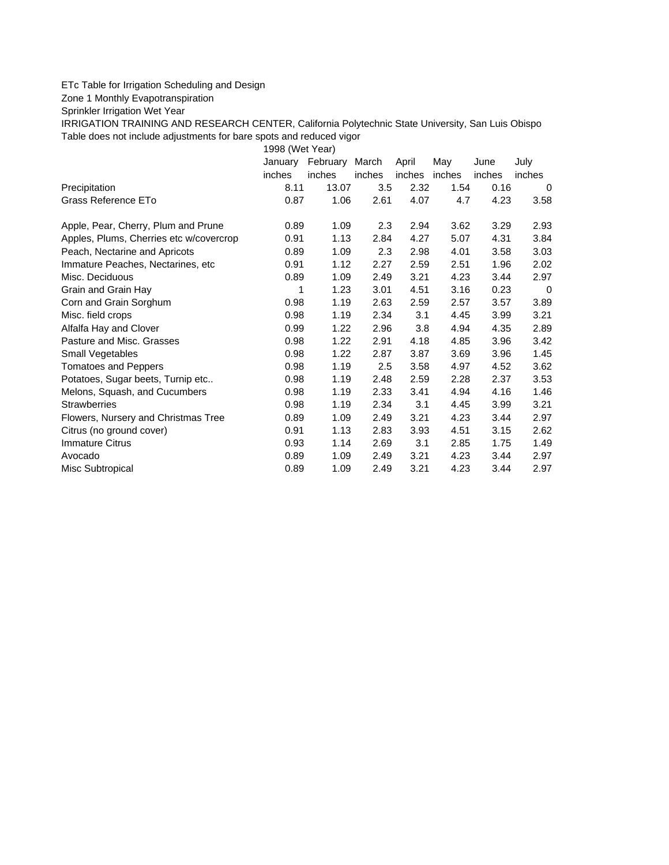## ETc Table for Irrigation Scheduling and Design

Zone 1 Monthly Evapotranspiration

Sprinkler Irrigation Wet Year

IRRIGATION TRAINING AND RESEARCH CENTER, California Polytechnic State University, San Luis Obispo Table does not include adjustments for bare spots and reduced vigor

1998 (Wet Year)

|                                         | January | February | March  | April  | May    | June   | July   |
|-----------------------------------------|---------|----------|--------|--------|--------|--------|--------|
|                                         | inches  | inches   | inches | inches | inches | inches | inches |
| Precipitation                           | 8.11    | 13.07    | 3.5    | 2.32   | 1.54   | 0.16   | 0      |
| Grass Reference ETo                     | 0.87    | 1.06     | 2.61   | 4.07   | 4.7    | 4.23   | 3.58   |
| Apple, Pear, Cherry, Plum and Prune     | 0.89    | 1.09     | 2.3    | 2.94   | 3.62   | 3.29   | 2.93   |
| Apples, Plums, Cherries etc w/covercrop | 0.91    | 1.13     | 2.84   | 4.27   | 5.07   | 4.31   | 3.84   |
| Peach, Nectarine and Apricots           | 0.89    | 1.09     | 2.3    | 2.98   | 4.01   | 3.58   | 3.03   |
| Immature Peaches, Nectarines, etc.      | 0.91    | 1.12     | 2.27   | 2.59   | 2.51   | 1.96   | 2.02   |
| Misc. Deciduous                         | 0.89    | 1.09     | 2.49   | 3.21   | 4.23   | 3.44   | 2.97   |
| Grain and Grain Hay                     | 1       | 1.23     | 3.01   | 4.51   | 3.16   | 0.23   | 0      |
| Corn and Grain Sorghum                  | 0.98    | 1.19     | 2.63   | 2.59   | 2.57   | 3.57   | 3.89   |
| Misc. field crops                       | 0.98    | 1.19     | 2.34   | 3.1    | 4.45   | 3.99   | 3.21   |
| Alfalfa Hay and Clover                  | 0.99    | 1.22     | 2.96   | 3.8    | 4.94   | 4.35   | 2.89   |
| Pasture and Misc. Grasses               | 0.98    | 1.22     | 2.91   | 4.18   | 4.85   | 3.96   | 3.42   |
| Small Vegetables                        | 0.98    | 1.22     | 2.87   | 3.87   | 3.69   | 3.96   | 1.45   |
| <b>Tomatoes and Peppers</b>             | 0.98    | 1.19     | 2.5    | 3.58   | 4.97   | 4.52   | 3.62   |
| Potatoes, Sugar beets, Turnip etc       | 0.98    | 1.19     | 2.48   | 2.59   | 2.28   | 2.37   | 3.53   |
| Melons, Squash, and Cucumbers           | 0.98    | 1.19     | 2.33   | 3.41   | 4.94   | 4.16   | 1.46   |
| <b>Strawberries</b>                     | 0.98    | 1.19     | 2.34   | 3.1    | 4.45   | 3.99   | 3.21   |
| Flowers, Nursery and Christmas Tree     | 0.89    | 1.09     | 2.49   | 3.21   | 4.23   | 3.44   | 2.97   |
| Citrus (no ground cover)                | 0.91    | 1.13     | 2.83   | 3.93   | 4.51   | 3.15   | 2.62   |
| <b>Immature Citrus</b>                  | 0.93    | 1.14     | 2.69   | 3.1    | 2.85   | 1.75   | 1.49   |
| Avocado                                 | 0.89    | 1.09     | 2.49   | 3.21   | 4.23   | 3.44   | 2.97   |
| Misc Subtropical                        | 0.89    | 1.09     | 2.49   | 3.21   | 4.23   | 3.44   | 2.97   |